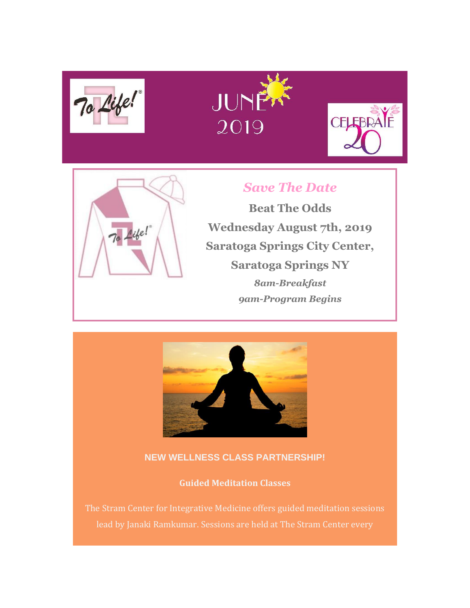







# *Save The Date*

**Beat The Odds Wednesday August 7th, 2019 Saratoga Springs City Center, Saratoga Springs NY** *8am-Breakfast 9am-Program Begins*



# **NEW WELLNESS CLASS PARTNERSHIP!**

**Guided Meditation Classes**

The Stram Center for Integrative Medicine offers guided meditation sessions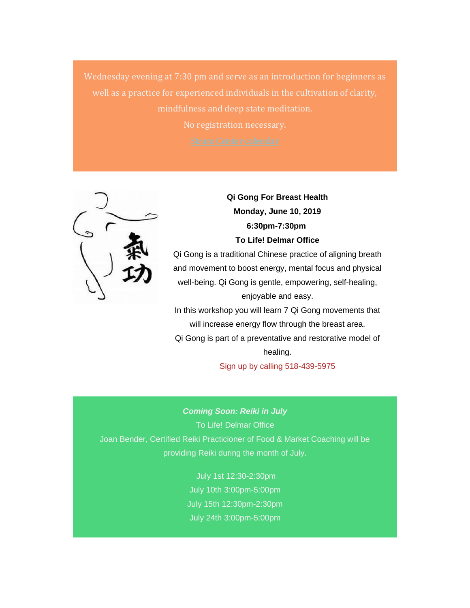Wednesday evening at 7:30 pm and serve as an introduction for beginners as well as a practice for experienced individuals in the cultivation of clarity, mindfulness and deep state meditation. No registration necessary.



*Qi Gong For Breast Health Monday, June 10, 2019 6:30pm-7:30pm To Life! Delmar Office*

Qi Gong is a traditional Chinese practice of aligning breath and movement to boost energy, mental focus and physical well-being. Qi Gong is gentle, empowering, self-healing, enjoyable and easy.

In this workshop you will learn 7 Qi Gong movements that will increase energy flow through the breast area. Qi Gong is part of a preventative and restorative model of healing.

Sign up by calling 518-439-5975

*Coming Soon: Reiki in July* To Life! Delmar Office Joan Bender, Certified Reiki Practicioner of Food & Market Coaching will be providing Reiki during the month of July.

> July 1st 12:30-2:30pm July 10th 3:00pm-5:00pm July 15th 12:30pm-2:30pm July 24th 3:00pm-5:00pm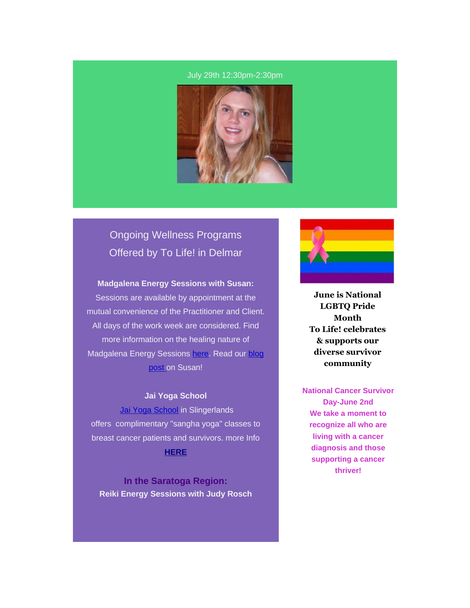#### July 29th 12:30pm-2:30pm



# Ongoing Wellness Programs Offered by *To Life!* in Delmar

## **Madgalena Energy Sessions with Susan:**

Sessions are available by appointment at the mutual convenience of the Practitioner and Client. All days of the work week are considered. Find more information on the healing nature of Madgalena Energy Sessions [here.](https://tolife.us5.list-manage.com/track/click?u=241d59b897b4121e9d2e15914&id=ad05189a71&e=d1f01208e2) Read our blog [post o](https://tolife.us5.list-manage.com/track/click?u=241d59b897b4121e9d2e15914&id=c7148de840&e=d1f01208e2)n Susan!

## *Jai Yoga School*

[Jai Yoga School](https://tolife.us5.list-manage.com/track/click?u=241d59b897b4121e9d2e15914&id=e031d46f3c&e=d1f01208e2) in Slingerlands offers complimentary "sangha yoga" classes to breast cancer patients and survivors. more Info **[HERE](https://tolife.us5.list-manage.com/track/click?u=241d59b897b4121e9d2e15914&id=abf77e49aa&e=d1f01208e2)**

**In the Saratoga Region:** *Reiki Energy Sessions with Judy Rosch*



**June is National LGBTQ Pride Month To Life! celebrates & supports our diverse survivor community**

**National Cancer Survivor Day-June 2nd We take a moment to recognize all who are living with a cancer diagnosis and those supporting a cancer thriver!**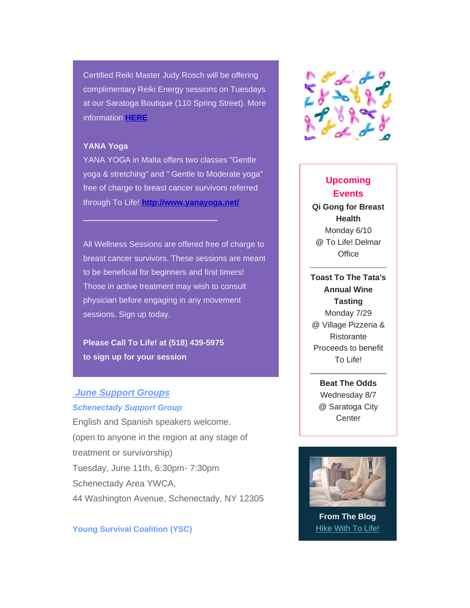Certified Reiki Master Judy Rosch will be offering complimentary Reiki Energy sessions on Tuesdays at our Saratoga Boutique (110 Spring Street). More information **[HERE](https://tolife.us5.list-manage.com/track/click?u=241d59b897b4121e9d2e15914&id=254dc856d6&e=d1f01208e2)**

#### **YANA Yoga**

YANA YOGA in Malta offers two classes "Gentle yoga & stretching" and " Gentle to Moderate yoga" free of charge to breast cancer survivors referred through To Life! **[http://www.yanayoga.net/](https://tolife.us5.list-manage.com/track/click?u=241d59b897b4121e9d2e15914&id=8ce37488d5&e=d1f01208e2)**

All Wellness Sessions are offered free of charge to breast cancer survivors. These sessions are meant to be beneficial for beginners and first timers! Those in active treatment may wish to consult physician before engaging in any movement sessions. Sign up today.

**Please Call To Life! at (518) 439-5975 to sign up for your session**

 $\mathcal{L}_\text{max}$  and  $\mathcal{L}_\text{max}$  and  $\mathcal{L}_\text{max}$  and  $\mathcal{L}_\text{max}$ 

# *June Support Groups*

#### *Schenectady Support Group*

English and Spanish speakers welcome. (open to anyone in the region at any stage of treatment or survivorship) Tuesday, June 11th, 6:30pm- 7:30pm Schenectady Area YWCA, 44 Washington Avenue, Schenectady, NY 12305

*Young Survival Coalition (YSC)*



# **Upcoming Events Qi Gong for Breast Health** Monday 6/10 @ To Life! Delmar **Office**

**Toast To The Tata's Annual Wine Tasting** Monday 7/29 @ Village Pizzeria & Ristorante Proceeds to benefit To Life!

> **Beat The Odds** Wednesday 8/7 @ Saratoga City **Center**



**From The Blog** [Hike With To Life!](https://tolife.us5.list-manage.com/track/click?u=241d59b897b4121e9d2e15914&id=d92609d3cf&e=d1f01208e2)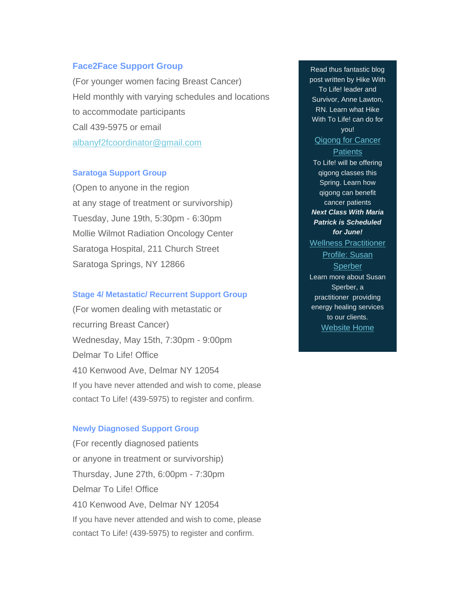## *Face2Face Support Group*

(For younger women facing Breast Cancer) Held monthly with varying schedules and locations to accommodate participants Call 439-5975 or email [albanyf2fcoordinator@gmail.com](mailto:albanyf2fcoordinator@gmail.com)

# *Saratoga Support Group*

(Open to anyone in the region at any stage of treatment or survivorship) Tuesday, June 19th, 5:30pm - 6:30pm Mollie Wilmot Radiation Oncology Center Saratoga Hospital, 211 Church Street Saratoga Springs, NY 12866

## *Stage 4/ Metastatic/ Recurrent Support Group*

(For women dealing with metastatic or recurring Breast Cancer) Wednesday, May 15th, 7:30pm - 9:00pm Delmar To Life! Office 410 Kenwood Ave, Delmar NY 12054 If you have never attended and wish to come, please contact To Life! (439-5975) to register and confirm.

#### *Newly Diagnosed Support Group*

(For recently diagnosed patients or anyone in treatment or survivorship) Thursday, June 27th, 6:00pm - 7:30pm Delmar To Life! Office 410 Kenwood Ave, Delmar NY 12054 If you have never attended and wish to come, please contact To Life! (439-5975) to register and confirm.

Read thus fantastic blog post written by Hike With To Life! leader and Survivor, Anne Lawton, RN. Learn what Hike With To Life! can do for you! *[Qigong for Cancer](https://tolife.us5.list-manage.com/track/click?u=241d59b897b4121e9d2e15914&id=b487b4a3d5&e=d1f01208e2)  [Patients](https://tolife.us5.list-manage.com/track/click?u=241d59b897b4121e9d2e15914&id=b487b4a3d5&e=d1f01208e2)* To Life! will be offering qigong classes this Spring. Learn how qigong can benefit cancer patients *Next Class With Maria Patrick is Scheduled for June! [Wellness Practitioner](https://tolife.us5.list-manage.com/track/click?u=241d59b897b4121e9d2e15914&id=2fa6bfeb33&e=d1f01208e2)  [Profile: Susan](https://tolife.us5.list-manage.com/track/click?u=241d59b897b4121e9d2e15914&id=2fa6bfeb33&e=d1f01208e2)  [Sperber](https://tolife.us5.list-manage.com/track/click?u=241d59b897b4121e9d2e15914&id=2fa6bfeb33&e=d1f01208e2)* Learn more about Susan Sperber, a practitioner providing energy healing services to our clients. [Website Home](https://tolife.us5.list-manage.com/track/click?u=241d59b897b4121e9d2e15914&id=e29825c3e4&e=d1f01208e2)